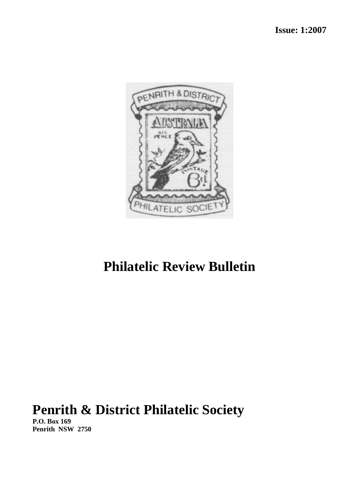

# **Philatelic Review Bulletin**

# **Penrith & District Philatelic Society**

**P.O. Box 169 Penrith NSW 2750**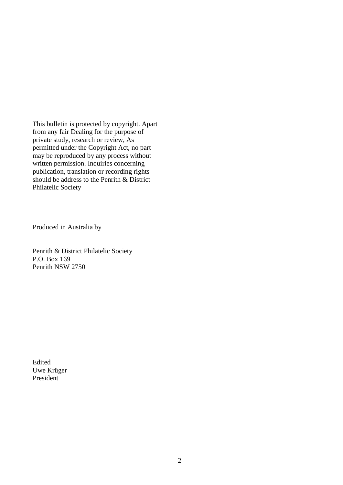This bulletin is protected by copyright. Apart from any fair Dealing for the purpose of private study, research or review, As permitted under the Copyright Act, no part may be reproduced by any process without written permission. Inquiries concerning publication, translation or recording rights should be address to the Penrith & District Philatelic Society

Produced in Australia by

Penrith & District Philatelic Society P.O. Box 169 Penrith NSW 2750

Edited Uwe Krüger President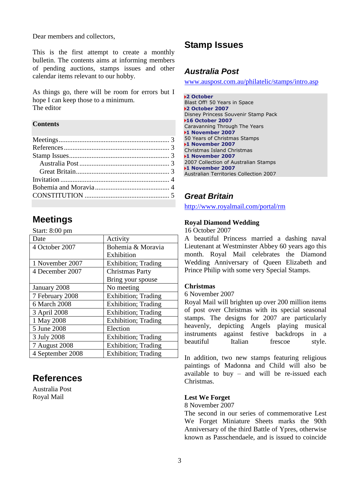Dear members and collectors,

This is the first attempt to create a monthly bulletin. The contents aims at informing members of pending auctions, stamps issues and other calendar items relevant to our hobby.

As things go, there will be room for errors but I hope I can keep those to a minimum. The editor

### **Contents**

## <span id="page-2-0"></span>**Meetings**

Start: 8:00 pm

| Date             | Activity                    |
|------------------|-----------------------------|
| 4 October 2007   | Bohemia & Moravia           |
|                  | Exhibition                  |
| 1 November 2007  | <b>Exhibition</b> ; Trading |
| 4 December 2007  | <b>Christmas Party</b>      |
|                  | Bring your spouse           |
| January 2008     | No meeting                  |
| 7 February 2008  | Exhibition; Trading         |
| 6 March 2008     | <b>Exhibition</b> ; Trading |
| 3 April 2008     | Exhibition; Trading         |
| 1 May 2008       | <b>Exhibition</b> ; Trading |
| 5 June 2008      | Election                    |
| 3 July 2008      | <b>Exhibition</b> ; Trading |
| 7 August 2008    | <b>Exhibition</b> ; Trading |
| 4 September 2008 | <b>Exhibition</b> ; Trading |

# <span id="page-2-1"></span>**References**

Australia Post Royal Mail

# <span id="page-2-2"></span>**Stamp Issues**

### <span id="page-2-3"></span>*Australia Post*

[www.auspost.com.au/philatelic/stamps/intro.asp](http://www.auspost.com.au/philatelic/stamps/intro.asp)

**2 October** Blast Off! 50 Years in Space **2 October 2007** Disney Princess Souvenir Stamp Pack **16 October 2007** Caravanning Through The Years **1 November 2007** 50 Years of Christmas Stamps **1 November 2007** Christmas Island Christmas **1 November 2007** 2007 Collection of Australian Stamps **1 November 2007** Australian Territories Collection 2007

### <span id="page-2-4"></span>*Great Britain*

<http://www.royalmail.com/portal/rm>

### **Royal Diamond Wedding**

16 October 2007

A beautiful Princess married a dashing naval Lieutenant at Westminster Abbey 60 years ago this month. Royal Mail celebrates the Diamond Wedding Anniversary of Queen Elizabeth and Prince Philip with some very Special Stamps.

### **Christmas**

6 November 2007

Royal Mail will brighten up over 200 million items of post over Christmas with its special seasonal stamps. The designs for 2007 are particularly heavenly, depicting Angels playing musical instruments against festive backdrops in a beautiful Italian frescoe style.

In addition, two new stamps featuring religious paintings of Madonna and Child will also be available to buy – and will be re-issued each Christmas.

### **Lest We Forget**

8 November 2007

The second in our series of commemorative Lest We Forget Miniature Sheets marks the 90th Anniversary of the third Battle of Ypres, otherwise known as Passchendaele, and is issued to coincide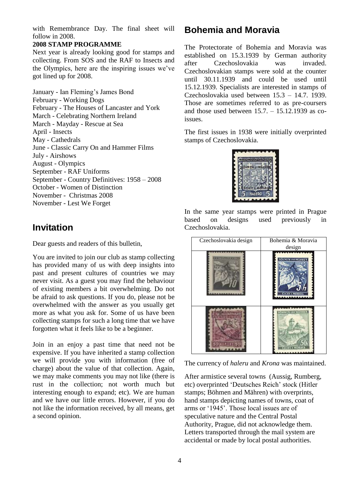with Remembrance Day. The final sheet will follow in 2008.

### **2008 STAMP PROGRAMME**

Next year is already looking good for stamps and collecting. From SOS and the RAF to Insects and the Olympics, here are the inspiring issues we've got lined up for 2008.

January - Ian Fleming's James Bond February - Working Dogs February - The Houses of Lancaster and York March - Celebrating Northern Ireland March - Mayday - Rescue at Sea April - Insects May - Cathedrals June - Classic Carry On and Hammer Films July - Airshows August - Olympics September - RAF Uniforms September - Country Definitives: 1958 – 2008 October - Women of Distinction November - Christmas 2008 November - Lest We Forget

### <span id="page-3-0"></span>**Invitation**

Dear guests and readers of this bulletin,

You are invited to join our club as stamp collecting has provided many of us with deep insights into past and present cultures of countries we may never visit. As a guest you may find the behaviour of existing members a bit overwhelming. Do not be afraid to ask questions. If you do, please not be overwhelmed with the answer as you usually get more as what you ask for. Some of us have been collecting stamps for such a long time that we have forgotten what it feels like to be a beginner.

Join in an enjoy a past time that need not be expensive. If you have inherited a stamp collection we will provide you with information (free of charge) about the value of that collection. Again, we may make comments you may not like (there is rust in the collection; not worth much but interesting enough to expand; etc). We are human and we have our little errors. However, if you do not like the information received, by all means, get a second opinion.

## <span id="page-3-1"></span>**Bohemia and Moravia**

The Protectorate of Bohemia and Moravia was established on 15.3.1939 by German authority after Czechoslovakia was invaded. Czechoslovakian stamps were sold at the counter until 30.11.1939 and could be used until 15.12.1939. Specialists are interested in stamps of Czechoslovakia used between 15.3 – 14.7. 1939. Those are sometimes referred to as pre-coursers and those used between  $15.7. - 15.12.1939$  as coissues.

The first issues in 1938 were initially overprinted stamps of Czechoslovakia.



In the same year stamps were printed in Prague based on designs used previously in Czechoslovakia.

| Czechoslovakia design | Bohemia & Moravia<br>design                       |
|-----------------------|---------------------------------------------------|
|                       | <b>BOHMEN UND MAHREN</b><br><b>CECHY A MORAVA</b> |
|                       | <b>INTERNATIONAL MARKETS</b>                      |

The currency of *haleru* and *Krona* was maintained.

After armistice several towns (Aussig, Rumberg, etc) overprinted 'Deutsches Reich' stock (Hitler stamps; Böhmen and Mähren) with overprints, hand stamps depicting names of towns, coat of arms or '1945'. Those local issues are of speculative nature and the Central Postal Authority, Prague, did not acknowledge them. Letters transported through the mail system are accidental or made by local postal authorities.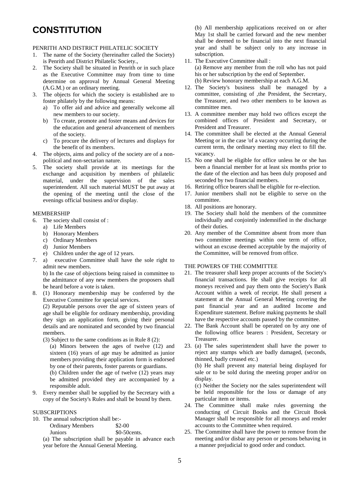# <span id="page-4-0"></span>**CONSTITUTION**

#### PENRITH AND DISTRICT PHILATELIC SOCIETY

- 1. The name of the Society (hereinafter called the Society) is Penrith and District Philatelic Society.,
- 2. The Society shall be situated in Penrith or in such place as the Executive Committee may from time to time determine on approval by Annual General Meeting (A.G.M.) or an ordinary meeting.
- 3. The objects for which the society is established are to foster philately by the following means:
	- a) To offer aid and advice and generally welcome all new members to our society.
	- b) To create, promote and foster means and devices for the education and general advancement of members of the society.
	- c) To procure the delivery of lectures and displays for the benefit of its members.
- 4. The objects, aims and policy of the society are of a nonpolitical and non-sectarian nature.
- 5. The society shall provide at its meetings for the exchange and acquisition by members of philatelic material, under the supervision of the sales superintendent. All such material MUST be put away at the opening of the meeting until the close of the evenings official business and/or display.

#### MEMBERSHIP

- 6. The society shall consist of :
	- a) Life Members
	- b) Honorary Members
	- c) Ordinary Members
	- d) Junior Members
	- e) Children under the age of 12 years.
- 7. a) executive Committee shall have the sole right to admit new members.

b) In the case of objections being raised in committee to the admittance of any new members the proposers shall be heard before a vote is taken.

8. (1) Honorary membership may be conferred by the Executive Committee for special services.

(2) Reputable persons over the age of sixteen years of age shall be eligible for ordinary membership, providing they sign an application form, giving their personal details and are nominated and seconded by two financial members.

- (3) Subject to the same conditions as in Rule 8 (2):
	- (a) Minors between the ages of twelve (12) and sixteen (16) years of age may be admitted as junior members providing their application form is endorsed by one of their parents, foster parents or guardians.

(b) Children under the age of twelve (12) years may be admitted provided they are accompanied by a responsible adult.

9. Every member shall be supplied by the Secretary with a copy of the Society's Rules and shall be bound by them.

#### SUBSCRIPTIONS

- 10. The annual subscription shall be:-
	- Ordinary Members \$2-00 Juniors  $\$0-50cents$ .
	- (a) The subscription shall be payable in advance each year before the Annual General Meeting.

(b) All membership applications received on or after May 1st shall be carried forward and the new member shall be deemed to be financial into the next financial year and shall be subject only to any increase in subscription.

- 11. The Executive Committee shall : (a) Remove any member from the roll who has not paid his or her subscription by the end of September. (b) Review honorary membership at each A.G.M.
- 12. The Society's business shall be managed by a committee, consisting of ,the President, the Secretary, the Treasurer, and two other members to be known as committee men.
- 13. A committee member may hold two offices except the combined offices of President and Secretary, or President and Treasurer.
- 14. The committee shall be elected at the Annual General Meeting or in the case 'of a vacancy occurring during the current term, the ordinary meeting may elect to fill the. vacancy.
- 15. No one shall be eligible for office unless he or she has been a financial member for at least six months prior to the date of the election and has been duly proposed and seconded by two financial members.
- 16. Retiring office bearers shall be eligible for re-election.
- 17. Junior members shall not be eligible to serve on the committee.
- 18. All positions are honorary.
- 19. The Society shall hold the members of the committee individually and conjointly indemnified in the discharge of their duties.
- 20. Any member of the Committee absent from more than two committee meetings within one term of office, without an excuse deemed acceptable by the majority of the Committee, will be removed from office.

#### THE POWERS OF THE COMMITTEE

- 21. The treasurer shall keep proper accounts of the Society's financial transactions. He shall give receipts for all moneys received and pay them onto the Society's Bank Account within a week of receipt. He shall present a statement at the Annual General Meeting covering the past financial year and an audited Income and Expenditure statement. Before making payments he shall have the respective accounts passed by the committee.
- 22. The Bank Account shall be operated on by any one of the following office bearers : President, Secretary or Treasurer.
- 23. (a) The sales superintendent shall have the power to reject any stamps which are badly damaged, (seconds, thinned, badly creased etc.)

(b) He shall prevent any material being displayed for sale or to be sold during the meeting proper and/or on display.

(c) Neither the Society nor the sales superintendent will be held responsible for the loss or damage of any particular item or items.

- 24. The Committee shall make rules governing the conducting of Circuit Books and the Circuit Book Manager shall be responsible for all moneys and render accounts to the Committee when required.
- 25. The Committee shall have the power to remove from the meeting and/or disbar any person or persons behaving in a manner prejudicial to good order and conduct.